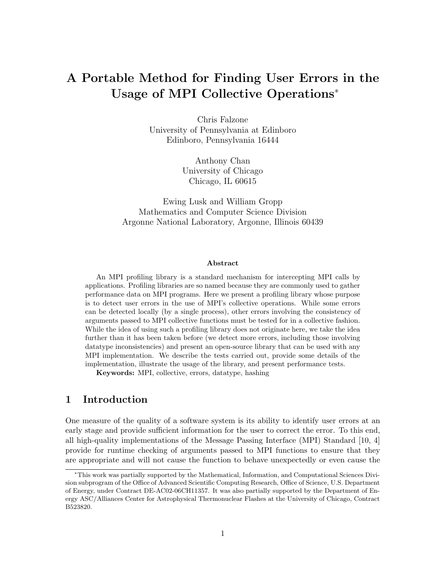# A Portable Method for Finding User Errors in the Usage of MPI Collective Operations<sup>∗</sup>

Chris Falzone University of Pennsylvania at Edinboro Edinboro, Pennsylvania 16444

> Anthony Chan University of Chicago Chicago, IL 60615

Ewing Lusk and William Gropp Mathematics and Computer Science Division Argonne National Laboratory, Argonne, Illinois 60439

#### Abstract

An MPI profiling library is a standard mechanism for intercepting MPI calls by applications. Profiling libraries are so named because they are commonly used to gather performance data on MPI programs. Here we present a profiling library whose purpose is to detect user errors in the use of MPI's collective operations. While some errors can be detected locally (by a single process), other errors involving the consistency of arguments passed to MPI collective functions must be tested for in a collective fashion. While the idea of using such a profiling library does not originate here, we take the idea further than it has been taken before (we detect more errors, including those involving datatype inconsistencies) and present an open-source library that can be used with any MPI implementation. We describe the tests carried out, provide some details of the implementation, illustrate the usage of the library, and present performance tests.

Keywords: MPI, collective, errors, datatype, hashing

# 1 Introduction

One measure of the quality of a software system is its ability to identify user errors at an early stage and provide sufficient information for the user to correct the error. To this end, all high-quality implementations of the Message Passing Interface (MPI) Standard [10, 4] provide for runtime checking of arguments passed to MPI functions to ensure that they are appropriate and will not cause the function to behave unexpectedly or even cause the

<sup>∗</sup>This work was partially supported by the Mathematical, Information, and Computational Sciences Division subprogram of the Office of Advanced Scientific Computing Research, Office of Science, U.S. Department of Energy, under Contract DE-AC02-06CH11357. It was also partially supported by the Department of Energy ASC/Alliances Center for Astrophysical Thermonuclear Flashes at the University of Chicago, Contract B523820.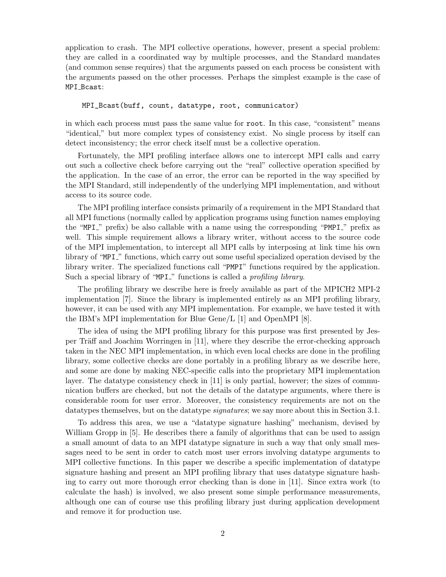application to crash. The MPI collective operations, however, present a special problem: they are called in a coordinated way by multiple processes, and the Standard mandates (and common sense requires) that the arguments passed on each process be consistent with the arguments passed on the other processes. Perhaps the simplest example is the case of MPI\_Bcast:

#### MPI\_Bcast(buff, count, datatype, root, communicator)

in which each process must pass the same value for root. In this case, "consistent" means "identical," but more complex types of consistency exist. No single process by itself can detect inconsistency; the error check itself must be a collective operation.

Fortunately, the MPI profiling interface allows one to intercept MPI calls and carry out such a collective check before carrying out the "real" collective operation specified by the application. In the case of an error, the error can be reported in the way specified by the MPI Standard, still independently of the underlying MPI implementation, and without access to its source code.

The MPI profiling interface consists primarily of a requirement in the MPI Standard that all MPI functions (normally called by application programs using function names employing the "MPI\_" prefix) be also callable with a name using the corresponding "PMPI\_" prefix as well. This simple requirement allows a library writer, without access to the source code of the MPI implementation, to intercept all MPI calls by interposing at link time his own library of "MPI\_" functions, which carry out some useful specialized operation devised by the library writer. The specialized functions call "PMPI" functions required by the application. Such a special library of "MPI<sub>"</sub> functions is called a *profiling library*.

The profiling library we describe here is freely available as part of the MPICH2 MPI-2 implementation [7]. Since the library is implemented entirely as an MPI profiling library, however, it can be used with any MPI implementation. For example, we have tested it with the IBM's MPI implementation for Blue Gene/L [1] and OpenMPI [8].

The idea of using the MPI profiling library for this purpose was first presented by Jesper Träff and Joachim Worringen in [11], where they describe the error-checking approach taken in the NEC MPI implementation, in which even local checks are done in the profiling library, some collective checks are done portably in a profiling library as we describe here, and some are done by making NEC-specific calls into the proprietary MPI implementation layer. The datatype consistency check in [11] is only partial, however; the sizes of communication buffers are checked, but not the details of the datatype arguments, where there is considerable room for user error. Moreover, the consistency requirements are not on the datatypes themselves, but on the datatype *signatures*; we say more about this in Section 3.1.

To address this area, we use a "datatype signature hashing" mechanism, devised by William Gropp in [5]. He describes there a family of algorithms that can be used to assign a small amount of data to an MPI datatype signature in such a way that only small messages need to be sent in order to catch most user errors involving datatype arguments to MPI collective functions. In this paper we describe a specific implementation of datatype signature hashing and present an MPI profiling library that uses datatype signature hashing to carry out more thorough error checking than is done in [11]. Since extra work (to calculate the hash) is involved, we also present some simple performance measurements, although one can of course use this profiling library just during application development and remove it for production use.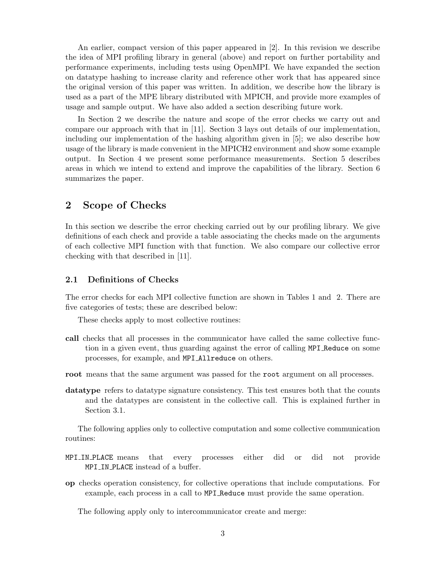An earlier, compact version of this paper appeared in [2]. In this revision we describe the idea of MPI profiling library in general (above) and report on further portability and performance experiments, including tests using OpenMPI. We have expanded the section on datatype hashing to increase clarity and reference other work that has appeared since the original version of this paper was written. In addition, we describe how the library is used as a part of the MPE library distributed with MPICH, and provide more examples of usage and sample output. We have also added a section describing future work.

In Section 2 we describe the nature and scope of the error checks we carry out and compare our approach with that in [11]. Section 3 lays out details of our implementation, including our implementation of the hashing algorithm given in [5]; we also describe how usage of the library is made convenient in the MPICH2 environment and show some example output. In Section 4 we present some performance measurements. Section 5 describes areas in which we intend to extend and improve the capabilities of the library. Section 6 summarizes the paper.

# 2 Scope of Checks

In this section we describe the error checking carried out by our profiling library. We give definitions of each check and provide a table associating the checks made on the arguments of each collective MPI function with that function. We also compare our collective error checking with that described in [11].

### 2.1 Definitions of Checks

The error checks for each MPI collective function are shown in Tables 1 and 2. There are five categories of tests; these are described below:

These checks apply to most collective routines:

- call checks that all processes in the communicator have called the same collective function in a given event, thus guarding against the error of calling MPI Reduce on some processes, for example, and MPI Allreduce on others.
- root means that the same argument was passed for the root argument on all processes.
- datatype refers to datatype signature consistency. This test ensures both that the counts and the datatypes are consistent in the collective call. This is explained further in Section 3.1.

The following applies only to collective computation and some collective communication routines:

- MPI IN PLACE means that every processes either did or did not provide MPI\_IN\_PLACE instead of a buffer.
- op checks operation consistency, for collective operations that include computations. For example, each process in a call to MPI Reduce must provide the same operation.

The following apply only to intercommunicator create and merge: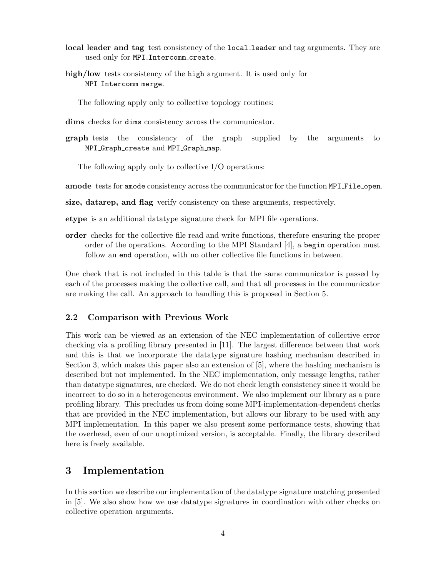- local leader and tag test consistency of the local leader and tag arguments. They are used only for MPI\_Intercomm\_create.
- high/low tests consistency of the high argument. It is used only for MPI Intercomm merge.

The following apply only to collective topology routines:

dims checks for dims consistency across the communicator.

graph tests the consistency of the graph supplied by the arguments to MPI Graph create and MPI Graph map.

The following apply only to collective I/O operations:

amode tests for amode consistency across the communicator for the function MPI File open.

size, datarep, and flag verify consistency on these arguments, respectively.

etype is an additional datatype signature check for MPI file operations.

order checks for the collective file read and write functions, therefore ensuring the proper order of the operations. According to the MPI Standard [4], a begin operation must follow an end operation, with no other collective file functions in between.

One check that is not included in this table is that the same communicator is passed by each of the processes making the collective call, and that all processes in the communicator are making the call. An approach to handling this is proposed in Section 5.

#### 2.2 Comparison with Previous Work

This work can be viewed as an extension of the NEC implementation of collective error checking via a profiling library presented in [11]. The largest difference between that work and this is that we incorporate the datatype signature hashing mechanism described in Section 3, which makes this paper also an extension of [5], where the hashing mechanism is described but not implemented. In the NEC implementation, only message lengths, rather than datatype signatures, are checked. We do not check length consistency since it would be incorrect to do so in a heterogeneous environment. We also implement our library as a pure profiling library. This precludes us from doing some MPI-implementation-dependent checks that are provided in the NEC implementation, but allows our library to be used with any MPI implementation. In this paper we also present some performance tests, showing that the overhead, even of our unoptimized version, is acceptable. Finally, the library described here is freely available.

# 3 Implementation

In this section we describe our implementation of the datatype signature matching presented in [5]. We also show how we use datatype signatures in coordination with other checks on collective operation arguments.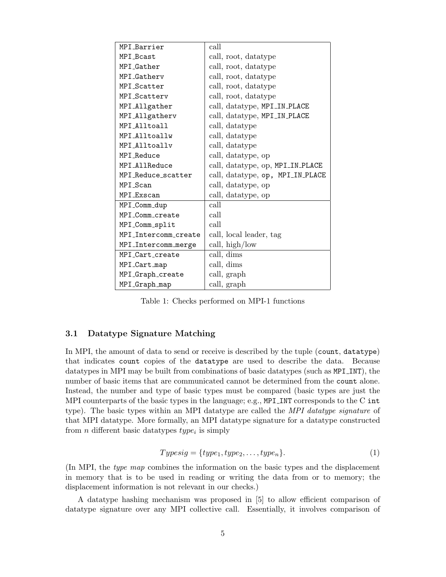| MPI_Barrier          | call                             |
|----------------------|----------------------------------|
| MPI_Bcast            | call, root, datatype             |
| MPI_Gather           | call, root, datatype             |
| MPI_Gathery          | call, root, datatype             |
| MPI Scatter          | call, root, datatype             |
| MPI_Scatterv         | call, root, datatype             |
| MPI_Allgather        | call, datatype, MPI_IN_PLACE     |
| MPI_Allgatherv       | call, datatype, MPI_IN_PLACE     |
| MPI Alltoall         | call, datatype                   |
| MPI_Alltoallw        | call, datatype                   |
| MPI_Alltoallv        | call, datatype                   |
| MPI Reduce           | call, datatype, op               |
| MPI AllReduce        | call, datatype, op, MPI_IN_PLACE |
| MPI_Reduce_scatter   | call, datatype, op, MPI_IN_PLACE |
| MPI Scan             | call, datatype, op               |
| MPI Exscan           | call, datatype, op               |
| MPI_Comm_dup         | call                             |
| MPI_Comm_create      | call                             |
| MPI_Comm_split       | call                             |
| MPI_Intercomm_create | call, local leader, tag          |
| MPI_Intercomm_merge  | call, high/low                   |
| MPI Cart create      | call, dims                       |
| MPI_Cart_map         | call, dims                       |
| MPI_Graph_create     | call, graph                      |
| MPI_Graph_map        | call, graph                      |

Table 1: Checks performed on MPI-1 functions

### 3.1 Datatype Signature Matching

In MPI, the amount of data to send or receive is described by the tuple (count, datatype) that indicates count copies of the datatype are used to describe the data. Because datatypes in MPI may be built from combinations of basic datatypes (such as MPI INT), the number of basic items that are communicated cannot be determined from the count alone. Instead, the number and type of basic types must be compared (basic types are just the MPI counterparts of the basic types in the language; e.g., MPI INT corresponds to the C int type). The basic types within an MPI datatype are called the *MPI datatype signature* of that MPI datatype. More formally, an MPI datatype signature for a datatype constructed from n different basic datatypes type*<sup>i</sup>* is simply

$$
Typesig = \{type_1, type_2, \dots, type_n\}.
$$
\n<sup>(1)</sup>

(In MPI, the *type map* combines the information on the basic types and the displacement in memory that is to be used in reading or writing the data from or to memory; the displacement information is not relevant in our checks.)

A datatype hashing mechanism was proposed in [5] to allow efficient comparison of datatype signature over any MPI collective call. Essentially, it involves comparison of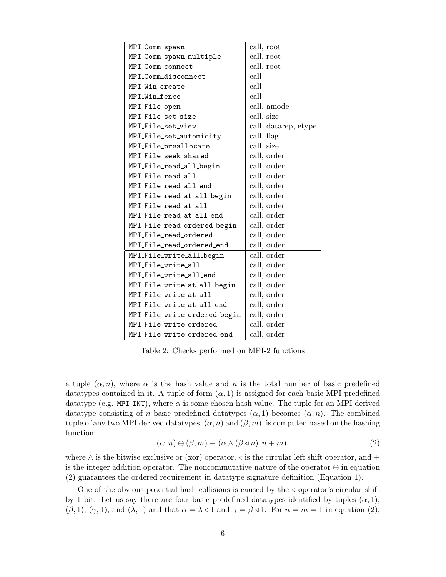| MPI_Comm_spawn               | call, root           |
|------------------------------|----------------------|
| MPI_Comm_spawn_multiple      | call, root           |
| MPI_Comm_connect             | call, root           |
| MPI_Comm_disconnect          | call                 |
| MPI Win create               | call                 |
| MPI_Win_fence                | call                 |
| MPI_File_open                | call, amode          |
| MPI_File_set_size            | call, size           |
| MPI_File_set_view            | call, datarep, etype |
| MPI_File_set_automicity      | call, flag           |
| MPI_File_preallocate         | call, size           |
| MPI_File_seek_shared         | call, order          |
| MPI_File_read_all_begin      | call, order          |
| MPI File read all            | call, order          |
| MPI_File_read_all_end        | call, order          |
| MPI_File_read_at_all_begin   | call, order          |
| MPI File read at all         | call, order          |
| MPI File read at all end     | call, order          |
| MPI_File_read_ordered_begin  | call, order          |
| MPI_File_read_ordered        | call, order          |
| MPI File read ordered end    | call, order          |
| MPI_File_write_all_begin     | call, order          |
| MPI_File_write_all           | call, order          |
| MPI File_write_all_end       | call, order          |
| MPI_File_write_at_all_begin  | call, order          |
| MPI File write at all        | call, order          |
| MPI File write at all end    | call, order          |
| MPI_File_write_ordered_begin | call, order          |
| MPI File write ordered       | call, order          |
| MPI_File_write_ordered_end   | call, order          |

Table 2: Checks performed on MPI-2 functions

a tuple  $(\alpha, n)$ , where  $\alpha$  is the hash value and n is the total number of basic predefined datatypes contained in it. A tuple of form  $(\alpha, 1)$  is assigned for each basic MPI predefined datatype (e.g. MPI INT), where  $\alpha$  is some chosen hash value. The tuple for an MPI derived datatype consisting of n basic predefined datatypes  $(\alpha, 1)$  becomes  $(\alpha, n)$ . The combined tuple of any two MPI derived datatypes,  $(\alpha, n)$  and  $(\beta, m)$ , is computed based on the hashing function:

$$
(\alpha, n) \oplus (\beta, m) \equiv (\alpha \wedge (\beta \triangleleft n), n + m), \tag{2}
$$

where  $\wedge$  is the bitwise exclusive or (xor) operator,  $\triangleleft$  is the circular left shift operator, and + is the integer addition operator. The noncommutative nature of the operator  $\oplus$  in equation (2) guarantees the ordered requirement in datatype signature definition (Equation 1).

One of the obvious potential hash collisions is caused by the  $\triangleleft$  operator's circular shift by 1 bit. Let us say there are four basic predefined datatypes identified by tuples  $(\alpha, 1)$ ,  $(\beta, 1), (\gamma, 1)$ , and  $(\lambda, 1)$  and that  $\alpha = \lambda \triangleleft 1$  and  $\gamma = \beta \triangleleft 1$ . For  $n = m = 1$  in equation (2),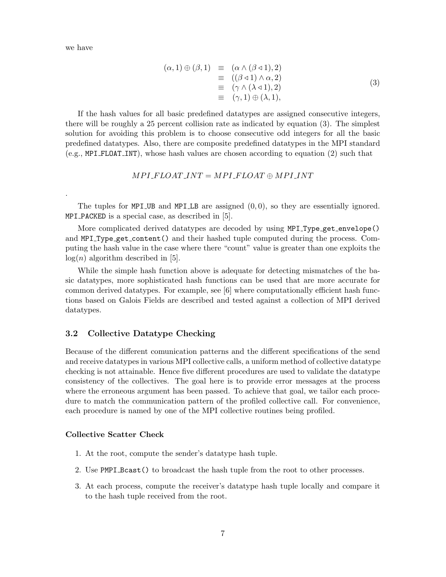we have

.

$$
(\alpha, 1) \oplus (\beta, 1) \equiv (\alpha \land (\beta \triangleleft 1), 2)
$$
  
\n
$$
\equiv ((\beta \triangleleft 1) \land \alpha, 2)
$$
  
\n
$$
\equiv (\gamma \land (\lambda \triangleleft 1), 2)
$$
  
\n
$$
\equiv (\gamma, 1) \oplus (\lambda, 1),
$$
  
\n(3)

If the hash values for all basic predefined datatypes are assigned consecutive integers, there will be roughly a 25 percent collision rate as indicated by equation (3). The simplest solution for avoiding this problem is to choose consecutive odd integers for all the basic predefined datatypes. Also, there are composite predefined datatypes in the MPI standard (e.g., MPI FLOAT INT), whose hash values are chosen according to equation (2) such that

$$
MPI\_FLOAT\_INT = MPI\_FLOAT \oplus MPI\_INT
$$

The tuples for MPI UB and MPI LB are assigned  $(0, 0)$ , so they are essentially ignored. MPI PACKED is a special case, as described in [5].

More complicated derived datatypes are decoded by using MPI Type get envelope() and MPI Type get content() and their hashed tuple computed during the process. Computing the hash value in the case where there "count" value is greater than one exploits the  $log(n)$  algorithm described in [5].

While the simple hash function above is adequate for detecting mismatches of the basic datatypes, more sophisticated hash functions can be used that are more accurate for common derived datatypes. For example, see [6] where computationally efficient hash functions based on Galois Fields are described and tested against a collection of MPI derived datatypes.

#### 3.2 Collective Datatype Checking

Because of the different comunication patterns and the different specifications of the send and receive datatypes in various MPI collective calls, a uniform method of collective datatype checking is not attainable. Hence five different procedures are used to validate the datatype consistency of the collectives. The goal here is to provide error messages at the process where the erroneous argument has been passed. To achieve that goal, we tailor each procedure to match the communication pattern of the profiled collective call. For convenience, each procedure is named by one of the MPI collective routines being profiled.

#### Collective Scatter Check

- 1. At the root, compute the sender's datatype hash tuple.
- 2. Use PMPI Bcast() to broadcast the hash tuple from the root to other processes.
- 3. At each process, compute the receiver's datatype hash tuple locally and compare it to the hash tuple received from the root.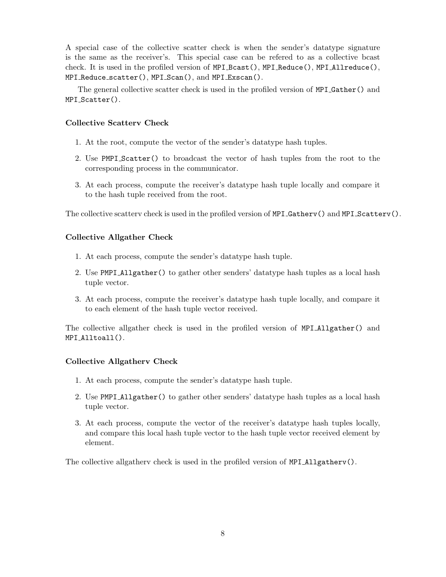A special case of the collective scatter check is when the sender's datatype signature is the same as the receiver's. This special case can be refered to as a collective bcast check. It is used in the profiled version of MPI Bcast(), MPI Reduce(), MPI Allreduce(), MPI\_Reduce\_scatter(), MPI\_Scan(), and MPI\_Exscan().

The general collective scatter check is used in the profiled version of MPI Gather() and MPI\_Scatter().

### Collective Scatterv Check

- 1. At the root, compute the vector of the sender's datatype hash tuples.
- 2. Use PMPI Scatter() to broadcast the vector of hash tuples from the root to the corresponding process in the communicator.
- 3. At each process, compute the receiver's datatype hash tuple locally and compare it to the hash tuple received from the root.

The collective scatterv check is used in the profiled version of MPI Gathery () and MPI Scattery ().

### Collective Allgather Check

- 1. At each process, compute the sender's datatype hash tuple.
- 2. Use PMPI Allgather() to gather other senders' datatype hash tuples as a local hash tuple vector.
- 3. At each process, compute the receiver's datatype hash tuple locally, and compare it to each element of the hash tuple vector received.

The collective allgather check is used in the profiled version of MPI Allgather() and MPI Alltoall().

### Collective Allgatherv Check

- 1. At each process, compute the sender's datatype hash tuple.
- 2. Use PMPI Allgather() to gather other senders' datatype hash tuples as a local hash tuple vector.
- 3. At each process, compute the vector of the receiver's datatype hash tuples locally, and compare this local hash tuple vector to the hash tuple vector received element by element.

The collective allgatherv check is used in the profiled version of MPI Allgatherv().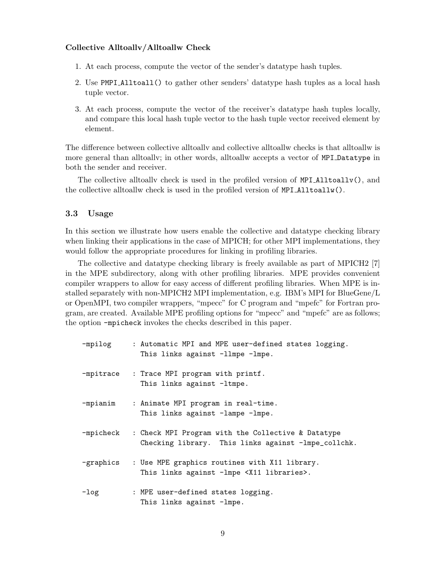#### Collective Alltoallv/Alltoallw Check

- 1. At each process, compute the vector of the sender's datatype hash tuples.
- 2. Use PMPI Alltoall() to gather other senders' datatype hash tuples as a local hash tuple vector.
- 3. At each process, compute the vector of the receiver's datatype hash tuples locally, and compare this local hash tuple vector to the hash tuple vector received element by element.

The difference between collective alltoallv and collective alltoallw checks is that alltoallw is more general than alltoallv; in other words, alltoallw accepts a vector of MPI Datatype in both the sender and receiver.

The collective alltoally check is used in the profiled version of MPI Alltoally(), and the collective alltoallw check is used in the profiled version of MPI Alltoallw().

#### 3.3 Usage

In this section we illustrate how users enable the collective and datatype checking library when linking their applications in the case of MPICH; for other MPI implementations, they would follow the appropriate procedures for linking in profiling libraries.

The collective and datatype checking library is freely available as part of MPICH2 [7] in the MPE subdirectory, along with other profiling libraries. MPE provides convenient compiler wrappers to allow for easy access of different profiling libraries. When MPE is installed separately with non-MPICH2 MPI implementation, e.g. IBM's MPI for BlueGene/L or OpenMPI, two compiler wrappers, "mpecc" for C program and "mpefc" for Fortran program, are created. Available MPE profiling options for "mpecc" and "mpefc" are as follows; the option -mpicheck invokes the checks described in this paper.

| -mpilog      | : Automatic MPI and MPE user-defined states logging.<br>This links against -llmpe -lmpe.                  |
|--------------|-----------------------------------------------------------------------------------------------------------|
| $-$ mpitrace | : Trace MPI program with printf.<br>This links against -ltmpe.                                            |
| $-$ mpianim  | : Animate MPI program in real-time.<br>This links against -lampe -lmpe.                                   |
| $-$ mpicheck | : Check MPI Program with the Collective & Datatype<br>Checking library. This links against -lmpe_collchk. |
| $-$ graphics | : Use MPE graphics routines with X11 library.<br>This links against -lmpe <x11 libraries="">.</x11>       |
| $-log$       | : MPE user-defined states logging.<br>This links against -lmpe.                                           |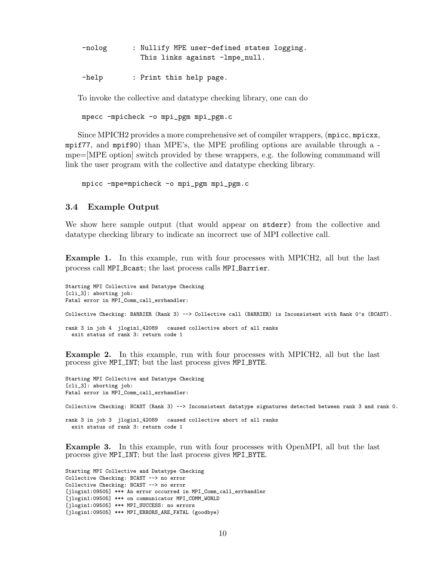| -nolog  | : Nullify MPE user-defined states logging.<br>This links against -lmpe_null. |
|---------|------------------------------------------------------------------------------|
| $-help$ | : Print this help page.                                                      |

To invoke the collective and datatype checking library, one can do

mpecc -mpicheck -o mpi\_pgm mpi\_pgm.c

Since MPICH2 provides a more comprehensive set of compiler wrappers, (mpicc, mpicxx, mpif77, and mpif90) than MPE's, the MPE profiling options are available through a mpe=[MPE option] switch provided by these wrappers, e.g. the following commmand will link the user program with the collective and datatype checking library.

mpicc -mpe=mpicheck -o mpi\_pgm mpi\_pgm.c

#### 3.4 Example Output

We show here sample output (that would appear on stderr) from the collective and datatype checking library to indicate an incorrect use of MPI collective call.

Example 1. In this example, run with four processes with MPICH2, all but the last process call MPI Bcast; the last process calls MPI Barrier.

Starting MPI Collective and Datatype Checking [cli\_3]: aborting job: Fatal error in MPI\_Comm\_call\_errhandler: Collective Checking: BARRIER (Rank 3) --> Collective call (BARRIER) is Inconsistent with Rank 0's (BCAST). rank 3 in job 4 jlogin1\_42089 caused collective abort of all ranks exit status of rank 3: return code 1

Example 2. In this example, run with four processes with MPICH2, all but the last process give MPI INT; but the last process gives MPI BYTE.

Starting MPI Collective and Datatype Checking [cli\_3]: aborting job: Fatal error in MPI\_Comm\_call\_errhandler: Collective Checking: BCAST (Rank 3) --> Inconsistent datatype signatures detected between rank 3 and rank 0. rank 3 in job 3 jlogin1\_42089 caused collective abort of all ranks exit status of rank 3: return code 1

Example 3. In this example, run with four processes with OpenMPI, all but the last process give MPI INT; but the last process gives MPI BYTE.

Starting MPI Collective and Datatype Checking Collective Checking: BCAST --> no error Collective Checking: BCAST --> no error [jlogin1:09505] \*\*\* An error occurred in MPI\_Comm\_call\_errhandler [jlogin1:09505] \*\*\* on communicator MPI\_COMM\_WORLD [jlogin1:09505] \*\*\* MPI\_SUCCESS: no errors [jlogin1:09505] \*\*\* MPI\_ERRORS\_ARE\_FATAL (goodbye)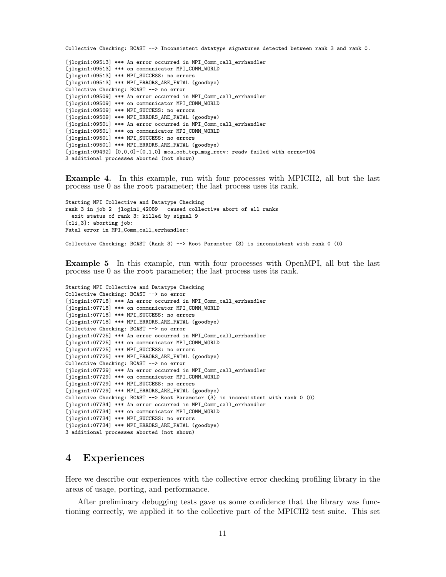Collective Checking: BCAST --> Inconsistent datatype signatures detected between rank 3 and rank 0.

```
[jlogin1:09513] *** An error occurred in MPI_Comm_call_errhandler
[jlogin1:09513] *** on communicator MPI_COMM_WORLD
[jlogin1:09513] *** MPI_SUCCESS: no errors
[jlogin1:09513] *** MPI_ERRORS_ARE_FATAL (goodbye)
Collective Checking: BCAST --> no error
[jlogin1:09509] *** An error occurred in MPI_Comm_call_errhandler
[jlogin1:09509] *** on communicator MPI_COMM_WORLD
[jlogin1:09509] *** MPI_SUCCESS: no errors
[jlogin1:09509] *** MPI_ERRORS_ARE_FATAL (goodbye)
[jlogin1:09501] *** An error occurred in MPI_Comm_call_errhandler
[jlogin1:09501] *** on communicator MPI_COMM_WORLD
[jlogin1:09501] *** MPI_SUCCESS: no errors
[jlogin1:09501] *** MPI_ERRORS_ARE_FATAL (goodbye)
[jlogin1:09492] [0,0,0]-[0,1,0] mca_oob_tcp_msg_recv: readv failed with errno=104
3 additional processes aborted (not shown)
```
Example 4. In this example, run with four processes with MPICH2, all but the last process use 0 as the root parameter; the last process uses its rank.

```
Starting MPI Collective and Datatype Checking
rank 3 in job 2 jlogin1_42089 caused collective abort of all ranks
 exit status of rank 3: killed by signal 9
[cli_3]: aborting job:
Fatal error in MPI_Comm_call_errhandler:
```
Collective Checking: BCAST (Rank 3) --> Root Parameter (3) is inconsistent with rank 0 (0)

Example 5 In this example, run with four processes with OpenMPI, all but the last process use 0 as the root parameter; the last process uses its rank.

```
Starting MPI Collective and Datatype Checking
Collective Checking: BCAST --> no error
[jlogin1:07718] *** An error occurred in MPI_Comm_call_errhandler
[jlogin1:07718] *** on communicator MPI_COMM_WORLD
[jlogin1:07718] *** MPI_SUCCESS: no errors
[jlogin1:07718] *** MPI_ERRORS_ARE_FATAL (goodbye)
Collective Checking: BCAST --> no error
[jlogin1:07725] *** An error occurred in MPI_Comm_call_errhandler
[jlogin1:07725] *** on communicator MPI_COMM_WORLD
[jlogin1:07725] *** MPI_SUCCESS: no errors
[jlogin1:07725] *** MPI_ERRORS_ARE_FATAL (goodbye)
Collective Checking: BCAST --> no error
[jlogin1:07729] *** An error occurred in MPI_Comm_call_errhandler
[jlogin1:07729] *** on communicator MPI_COMM_WORLD
[jlogin1:07729] *** MPI_SUCCESS: no errors
[jlogin1:07729] *** MPI_ERRORS_ARE_FATAL (goodbye)
Collective Checking: BCAST --> Root Parameter (3) is inconsistent with rank 0 (0)
[jlogin1:07734] *** An error occurred in MPI_Comm_call_errhandler
[jlogin1:07734] *** on communicator MPI_COMM_WORLD
[jlogin1:07734] *** MPI_SUCCESS: no errors
[jlogin1:07734] *** MPI_ERRORS_ARE_FATAL (goodbye)
3 additional processes aborted (not shown)
```
# 4 Experiences

Here we describe our experiences with the collective error checking profiling library in the areas of usage, porting, and performance.

After preliminary debugging tests gave us some confidence that the library was functioning correctly, we applied it to the collective part of the MPICH2 test suite. This set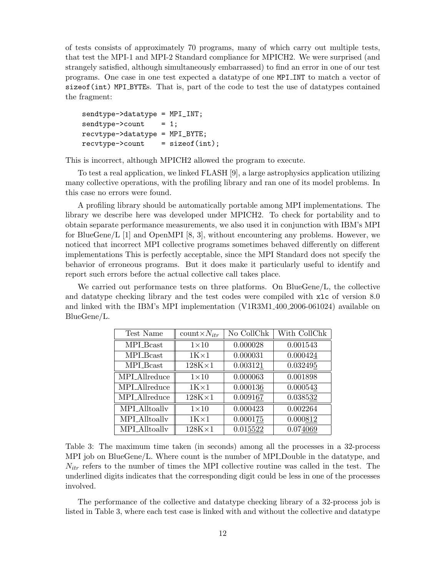of tests consists of approximately 70 programs, many of which carry out multiple tests, that test the MPI-1 and MPI-2 Standard compliance for MPICH2. We were surprised (and strangely satisfied, although simultaneously embarrassed) to find an error in one of our test programs. One case in one test expected a datatype of one MPI INT to match a vector of sizeof(int) MPI BYTEs. That is, part of the code to test the use of datatypes contained the fragment:

```
sendtype->datatype = MPI_INT;
sendtype->count = 1;recvtype->datatype = MPI_BYTE;
\text{recvtype}\text{-}\text{count} = \text{sizeof(int)};
```
This is incorrect, although MPICH2 allowed the program to execute.

To test a real application, we linked FLASH [9], a large astrophysics application utilizing many collective operations, with the profiling library and ran one of its model problems. In this case no errors were found.

A profiling library should be automatically portable among MPI implementations. The library we describe here was developed under MPICH2. To check for portability and to obtain separate performance measurements, we also used it in conjunction with IBM's MPI for BlueGene/L [1] and OpenMPI [8, 3], without encountering any problems. However, we noticed that incorrect MPI collective programs sometimes behaved differently on different implementations This is perfectly acceptable, since the MPI Standard does not specify the behavior of erroneous programs. But it does make it particularly useful to identify and report such errors before the actual collective call takes place.

We carried out performance tests on three platforms. On BlueGene/L, the collective and datatype checking library and the test codes were compiled with xlc of version 8.0 and linked with the IBM's MPI implementation (V1R3M1 400 2006-061024) available on BlueGene/L.

| Test Name            | $\text{count} \times N_{itr}$ | No CollChk | With CollChk |
|----------------------|-------------------------------|------------|--------------|
| MPI_Bcast            | $1\times10$                   | 0.000028   | 0.001543     |
| <b>MPLB</b> cast     | $1K \times 1$                 | 0.000031   | 0.000424     |
| <b>MPL</b> Bcast     | $128K \times 1$               | 0.003121   | 0.032495     |
| MPI_Allreduce        | $1\times10$                   | 0.000063   | 0.001898     |
| MPI_Allreduce        | $1K \times 1$                 | 0.000136   | 0.000543     |
| <b>MPI_Allreduce</b> | $128K \times 1$               | 0.009167   | 0.038532     |
| MPI_Alltoallv        | $1\times 10$                  | 0.000423   | 0.002264     |
| MPI_Alltoally        | $1K \times 1$                 | 0.000175   | 0.000812     |
| <b>MPI_Alltoally</b> | $128K \times 1$               | 0.015522   | 0.074069     |

Table 3: The maximum time taken (in seconds) among all the processes in a 32-process MPI job on BlueGene/L. Where count is the number of MPI Double in the datatype, and N*itr* refers to the number of times the MPI collective routine was called in the test. The underlined digits indicates that the corresponding digit could be less in one of the processes involved.

The performance of the collective and datatype checking library of a 32-process job is listed in Table 3, where each test case is linked with and without the collective and datatype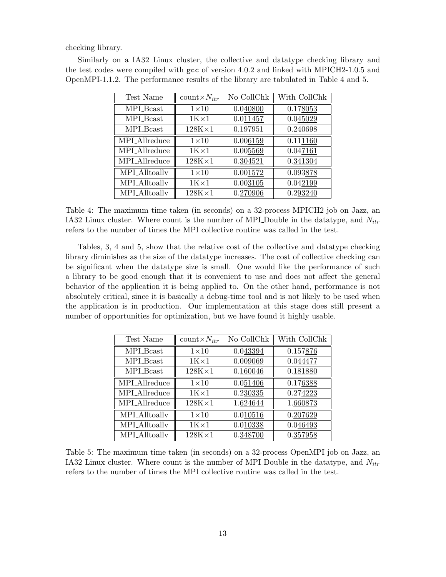checking library.

Similarly on a IA32 Linux cluster, the collective and datatype checking library and the test codes were compiled with gcc of version 4.0.2 and linked with MPICH2-1.0.5 and OpenMPI-1.1.2. The performance results of the library are tabulated in Table 4 and 5.

| Test Name            | count $\times N_{itr}$ | No CollChk | With CollChk |
|----------------------|------------------------|------------|--------------|
| MPI_Bcast            | $1\times10$            | 0.040800   | 0.178053     |
| MPI_Bcast            | $1K \times 1$          | 0.011457   | 0.045029     |
| MPI_Bcast            | $128K \times 1$        | 0.197951   | 0.240698     |
| MPI_Allreduce        | $1\times10$            | 0.006159   | 0.111160     |
| <b>MPI_Allreduce</b> | $1K \times 1$          | 0.005569   | 0.047161     |
| <b>MPLAllreduce</b>  | $128K \times 1$        | 0.304521   | 0.341304     |
| MPI_Alltoallv        | $1\times10$            | 0.001572   | 0.093878     |
| MPI_Alltoallv        | $1K \times 1$          | 0.003105   | 0.042199     |
| <b>MPI_Alltoally</b> | $128K \times 1$        | 0.270906   | 0.293240     |

Table 4: The maximum time taken (in seconds) on a 32-process MPICH2 job on Jazz, an IA32 Linux cluster. Where count is the number of MPI Double in the datatype, and N*itr* refers to the number of times the MPI collective routine was called in the test.

Tables, 3, 4 and 5, show that the relative cost of the collective and datatype checking library diminishes as the size of the datatype increases. The cost of collective checking can be significant when the datatype size is small. One would like the performance of such a library to be good enough that it is convenient to use and does not affect the general behavior of the application it is being applied to. On the other hand, performance is not absolutely critical, since it is basically a debug-time tool and is not likely to be used when the application is in production. Our implementation at this stage does still present a number of opportunities for optimization, but we have found it highly usable.

| Test Name            | $\text{count} \times N_{itr}$ | No CollChk | With CollChk |
|----------------------|-------------------------------|------------|--------------|
| MPI_Bcast            | $1\times10$                   | 0.043394   | 0.157876     |
| MPL Beast            | $1K \times 1$                 | 0.009069   | 0.044477     |
| MPI_Bcast            | $128K \times 1$               | 0.160046   | 0.181880     |
| <b>MPI_Allreduce</b> | $1\times10$                   | 0.051406   | 0.176388     |
| <b>MPI_Allreduce</b> | $1K \times 1$                 | 0.230335   | 0.274223     |
| MPI_Allreduce        | $128K \times 1$               | 1.624644   | 1.660873     |
| <b>MPI_Alltoally</b> | $1\times10$                   | 0.010516   | 0.207629     |
| MPI_Alltoallv        | $1K \times 1$                 | 0.010338   | 0.046493     |
| MPI_Alltoally        | $128K \times 1$               | 0.348700   | 0.357958     |

Table 5: The maximum time taken (in seconds) on a 32-process OpenMPI job on Jazz, an IA32 Linux cluster. Where count is the number of MPI Double in the datatype, and N*itr* refers to the number of times the MPI collective routine was called in the test.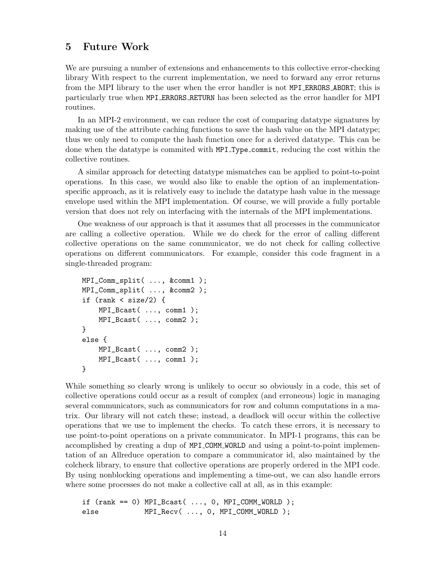## 5 Future Work

We are pursuing a number of extensions and enhancements to this collective error-checking library With respect to the current implementation, we need to forward any error returns from the MPI library to the user when the error handler is not MPI ERRORS ABORT; this is particularly true when MPI ERRORS RETURN has been selected as the error handler for MPI routines.

In an MPI-2 environment, we can reduce the cost of comparing datatype signatures by making use of the attribute caching functions to save the hash value on the MPI datatype; thus we only need to compute the hash function once for a derived datatype. This can be done when the datatype is commited with MPI Type commit, reducing the cost within the collective routines.

A similar approach for detecting datatype mismatches can be applied to point-to-point operations. In this case, we would also like to enable the option of an implementationspecific approach, as it is relatively easy to include the datatype hash value in the message envelope used within the MPI implementation. Of course, we will provide a fully portable version that does not rely on interfacing with the internals of the MPI implementations.

One weakness of our approach is that it assumes that all processes in the communicator are calling a collective operation. While we do check for the error of calling different collective operations on the same communicator, we do not check for calling collective operations on different communicators. For example, consider this code fragment in a single-threaded program:

```
MPI_Comm_split( ..., &comm1 );
MPI_Comm_split( ..., &comm2 );
if (rank < size/2) {
    MPI_Bcast( ..., comm1 );
    MPI_Bcast( ..., comm2 );
}
else {
    MPI_Bcast( ..., comm2 );
    MPI_Bcast( ..., comm1 );
}
```
While something so clearly wrong is unlikely to occur so obviously in a code, this set of collective operations could occur as a result of complex (and erroneous) logic in managing several communicators, such as communicators for row and column computations in a matrix. Our library will not catch these; instead, a deadlock will occur within the collective operations that we use to implement the checks. To catch these errors, it is necessary to use point-to-point operations on a private communicator. In MPI-1 programs, this can be accomplished by creating a dup of MPI COMM WORLD and using a point-to-point implementation of an Allreduce operation to compare a communicator id, also maintained by the colcheck library, to ensure that collective operations are properly ordered in the MPI code. By using nonblocking operations and implementing a time-out, we can also handle errors where some processes do not make a collective call at all, as in this example:

if  $(rank == 0) \text{MPI\_Bcast}( ..., 0, \text{MPI\_COMM\_WORLD} );$ else MPI\_Recv( ..., 0, MPI\_COMM\_WORLD );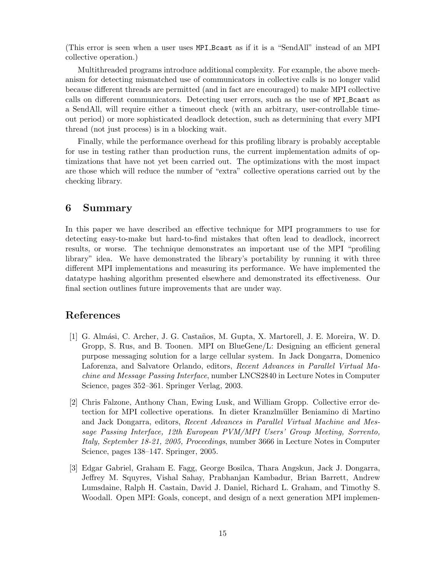(This error is seen when a user uses MPI Bcast as if it is a "SendAll" instead of an MPI collective operation.)

Multithreaded programs introduce additional complexity. For example, the above mechanism for detecting mismatched use of communicators in collective calls is no longer valid because different threads are permitted (and in fact are encouraged) to make MPI collective calls on different communicators. Detecting user errors, such as the use of MPI Bcast as a SendAll, will require either a timeout check (with an arbitrary, user-controllable timeout period) or more sophisticated deadlock detection, such as determining that every MPI thread (not just process) is in a blocking wait.

Finally, while the performance overhead for this profiling library is probably acceptable for use in testing rather than production runs, the current implementation admits of optimizations that have not yet been carried out. The optimizations with the most impact are those which will reduce the number of "extra" collective operations carried out by the checking library.

# 6 Summary

In this paper we have described an effective technique for MPI programmers to use for detecting easy-to-make but hard-to-find mistakes that often lead to deadlock, incorrect results, or worse. The technique demonstrates an important use of the MPI "profiling library" idea. We have demonstrated the library's portability by running it with three different MPI implementations and measuring its performance. We have implemented the datatype hashing algorithm presented elsewhere and demonstrated its effectiveness. Our final section outlines future improvements that are under way.

# References

- [1] G. Alm´asi, C. Archer, J. G. Castanos, ˜ M. Gupta, X. Martorell, J. E. Moreira, W. D. Gropp, S. Rus, and B. Toonen. MPI on BlueGene/L: Designing an efficient general purpose messaging solution for a large cellular system. In Jack Dongarra, Domenico Laforenza, and Salvatore Orlando, editors, *Recent Advances in Parallel Virtual Machine and Message Passing Interface*, number LNCS2840 in Lecture Notes in Computer Science, pages 352–361. Springer Verlag, 2003.
- [2] Chris Falzone, Anthony Chan, Ewing Lusk, and William Gropp. Collective error detection for MPI collective operations. In dieter Kranzlmüller Beniamino di Martino and Jack Dongarra, editors, *Recent Advances in Parallel Virtual Machine and Message Passing Interface, 12th European PVM/MPI Users' Group Meeting, Sorrento, Italy, September 18-21, 2005, Proceedings*, number 3666 in Lecture Notes in Computer Science, pages 138–147. Springer, 2005.
- [3] Edgar Gabriel, Graham E. Fagg, George Bosilca, Thara Angskun, Jack J. Dongarra, Jeffrey M. Squyres, Vishal Sahay, Prabhanjan Kambadur, Brian Barrett, Andrew Lumsdaine, Ralph H. Castain, David J. Daniel, Richard L. Graham, and Timothy S. Woodall. Open MPI: Goals, concept, and design of a next generation MPI implemen-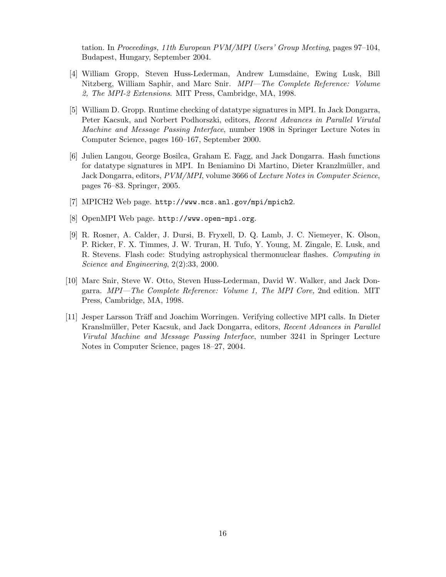tation. In *Proceedings, 11th European PVM/MPI Users' Group Meeting*, pages 97–104, Budapest, Hungary, September 2004.

- [4] William Gropp, Steven Huss-Lederman, Andrew Lumsdaine, Ewing Lusk, Bill Nitzberg, William Saphir, and Marc Snir. *MPI—The Complete Reference: Volume 2, The MPI-2 Extensions*. MIT Press, Cambridge, MA, 1998.
- [5] William D. Gropp. Runtime checking of datatype signatures in MPI. In Jack Dongarra, Peter Kacsuk, and Norbert Podhorszki, editors, *Recent Advances in Parallel Virutal Machine and Message Passing Interface*, number 1908 in Springer Lecture Notes in Computer Science, pages 160–167, September 2000.
- [6] Julien Langou, George Bosilca, Graham E. Fagg, and Jack Dongarra. Hash functions for datatype signatures in MPI. In Beniamino Di Martino, Dieter Kranzlmüller, and Jack Dongarra, editors, *PVM/MPI*, volume 3666 of *Lecture Notes in Computer Science*, pages 76–83. Springer, 2005.
- [7] MPICH2 Web page. http://www.mcs.anl.gov/mpi/mpich2.
- [8] OpenMPI Web page. http://www.open-mpi.org.
- [9] R. Rosner, A. Calder, J. Dursi, B. Fryxell, D. Q. Lamb, J. C. Niemeyer, K. Olson, P. Ricker, F. X. Timmes, J. W. Truran, H. Tufo, Y. Young, M. Zingale, E. Lusk, and R. Stevens. Flash code: Studying astrophysical thermonuclear flashes. *Computing in Science and Engineering*, 2(2):33, 2000.
- [10] Marc Snir, Steve W. Otto, Steven Huss-Lederman, David W. Walker, and Jack Dongarra. *MPI—The Complete Reference: Volume 1, The MPI Core,* 2nd edition. MIT Press, Cambridge, MA, 1998.
- [11] Jesper Larsson Träff and Joachim Worringen. Verifying collective MPI calls. In Dieter Kranslmüller, Peter Kacsuk, and Jack Dongarra, editors, *Recent Advances* in *Parallel Virutal Machine and Message Passing Interface*, number 3241 in Springer Lecture Notes in Computer Science, pages 18–27, 2004.